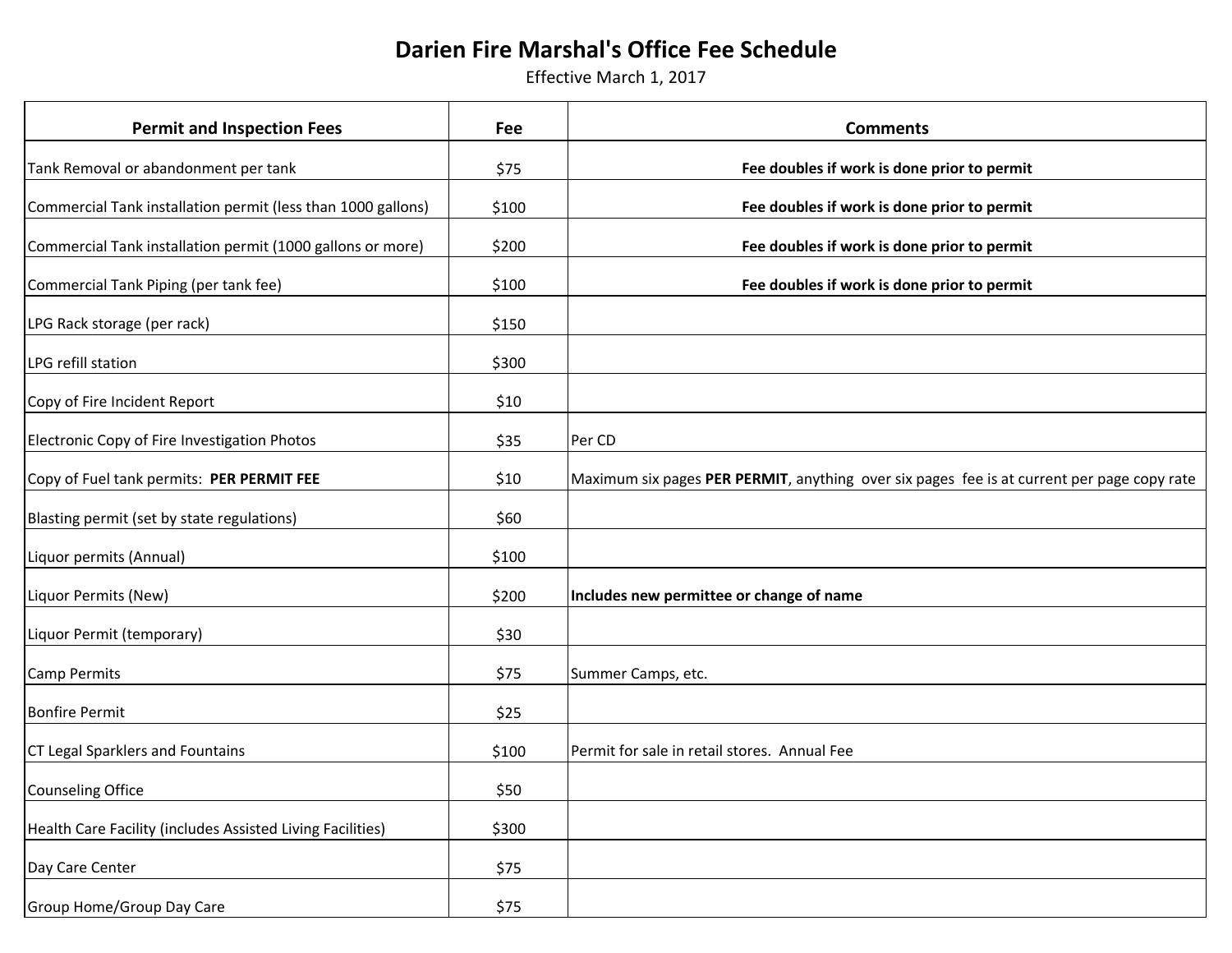## **Darien Fire Marshal's Office Fee Schedule**

Effective March 1, 2017

| <b>Permit and Inspection Fees</b>                            | Fee   | <b>Comments</b>                                                                            |
|--------------------------------------------------------------|-------|--------------------------------------------------------------------------------------------|
| Tank Removal or abandonment per tank                         | \$75  | Fee doubles if work is done prior to permit                                                |
| Commercial Tank installation permit (less than 1000 gallons) | \$100 | Fee doubles if work is done prior to permit                                                |
| Commercial Tank installation permit (1000 gallons or more)   | \$200 | Fee doubles if work is done prior to permit                                                |
| Commercial Tank Piping (per tank fee)                        | \$100 | Fee doubles if work is done prior to permit                                                |
| LPG Rack storage (per rack)                                  | \$150 |                                                                                            |
| LPG refill station                                           | \$300 |                                                                                            |
| Copy of Fire Incident Report                                 | \$10  |                                                                                            |
| Electronic Copy of Fire Investigation Photos                 | \$35  | Per CD                                                                                     |
| Copy of Fuel tank permits: PER PERMIT FEE                    | \$10  | Maximum six pages PER PERMIT, anything over six pages fee is at current per page copy rate |
| Blasting permit (set by state regulations)                   | \$60  |                                                                                            |
| Liquor permits (Annual)                                      | \$100 |                                                                                            |
| Liquor Permits (New)                                         | \$200 | Includes new permittee or change of name                                                   |
| Liquor Permit (temporary)                                    | \$30  |                                                                                            |
| <b>Camp Permits</b>                                          | \$75  | Summer Camps, etc.                                                                         |
| <b>Bonfire Permit</b>                                        | \$25  |                                                                                            |
| <b>CT Legal Sparklers and Fountains</b>                      | \$100 | Permit for sale in retail stores. Annual Fee                                               |
| Counseling Office                                            | \$50  |                                                                                            |
| Health Care Facility (includes Assisted Living Facilities)   | \$300 |                                                                                            |
| Day Care Center                                              | \$75  |                                                                                            |
| Group Home/Group Day Care                                    | \$75  |                                                                                            |